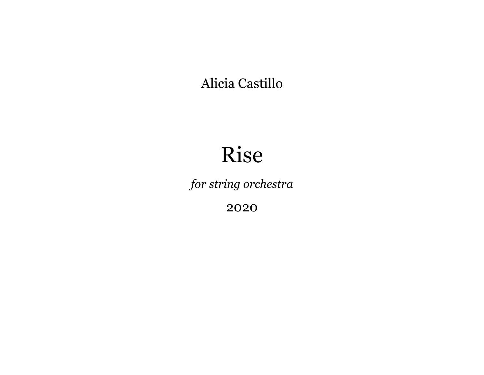Alicia Castillo

## Rise

*for string orchestra*

2020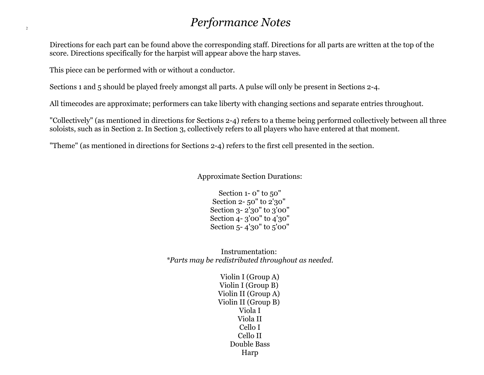## *Performance Notes*

Directions for each part can be found above the corresponding staff. Directions for all parts are written at the top of the score. Directions specifically for the harpist will appear above the harp staves.

This piece can be performed with or without a conductor.

2

Sections 1 and 5 should be played freely amongst all parts. A pulse will only be present in Sections 2-4.

All timecodes are approximate; performers can take liberty with changing sections and separate entries throughout.

"Collectively" (as mentioned in directions for Sections 2-4) refers to a theme being performed collectively between all three soloists, such as in Section 2. In Section 3, collectively refers to all players who have entered at that moment.

"Theme" (as mentioned in directions for Sections 2-4) refers to the first cell presented in the section.

Approximate Section Durations:

Section 1- 0" to 50" Section 2- 50" to 2'30" Section 3- 2'30" to 3'00" Section 4- 3'00" to 4'30" Section 5- 4'30" to 5'00"

Instrumentation: *\*Parts may be redistributed throughout as needed.*

> Violin I (Group A) Violin I (Group B) Violin II (Group A) Violin II (Group B) Viola I Viola II Cello I Cello II Double Bass Harp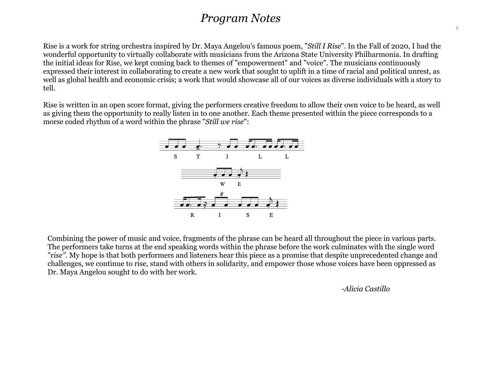## *Program Notes*

Rise is a work for string orchestra inspired by Dr. Maya Angelou's famous poem, "*Still I Rise*". In the Fallof 2020, I had the wonderful opportunity to virtually collaborate with musicians from the Arizona State University Philharmonia. In drafting the initial ideas for Rise, we kept coming back to themes of "empowerment" and "voice". The musicians continuously expressed their interest in collaborating to create a new work that sought to uplift in a time of racial and political unrest, as well as global health and economic crisis; a work that would showcase all of our voices as diverse individuals with a story to tell.

Rise is written in an open score format, giving the performers creative freedom to allow their own voice to be heard, as well as giving them the opportunity to really listen in to one another. Each theme presented within the piece corresponds to a morse coded rhythm of a word within the phrase "*Still we rise*":



Combining the power of music and voice, fragments of the phrase can be heard all throughout the piece in various parts. The performers take turns at the end speaking words within the phrase before the work culminates with the single word "r*ise" .* My hope is that both performers and listeners hear this piece as a promise that despite unprecedented change and challenges, we continue to rise, stand with others in solidarity, and empower those whose voices have been oppressed as Dr. Maya Angelou sought to do with her work.

*-Alicia Castillo*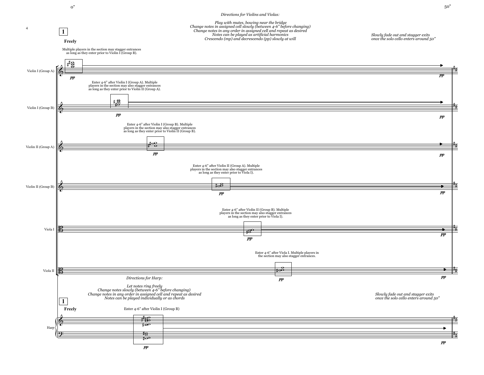

50"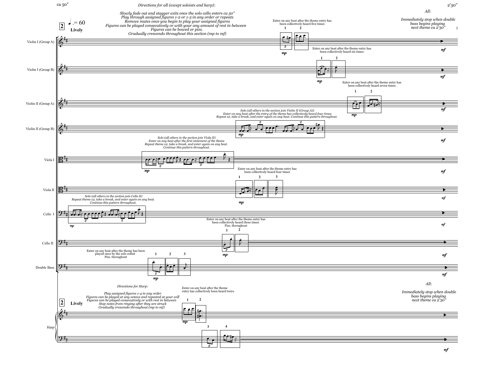

mf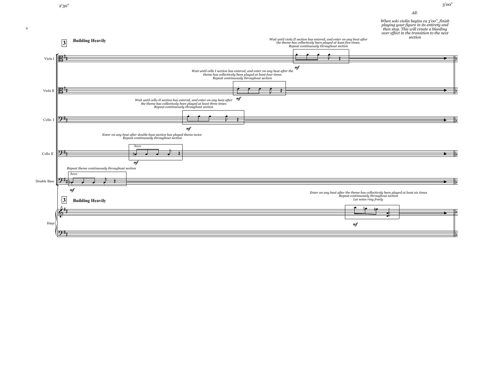

6

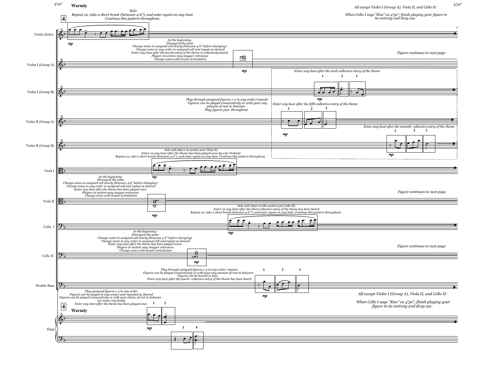